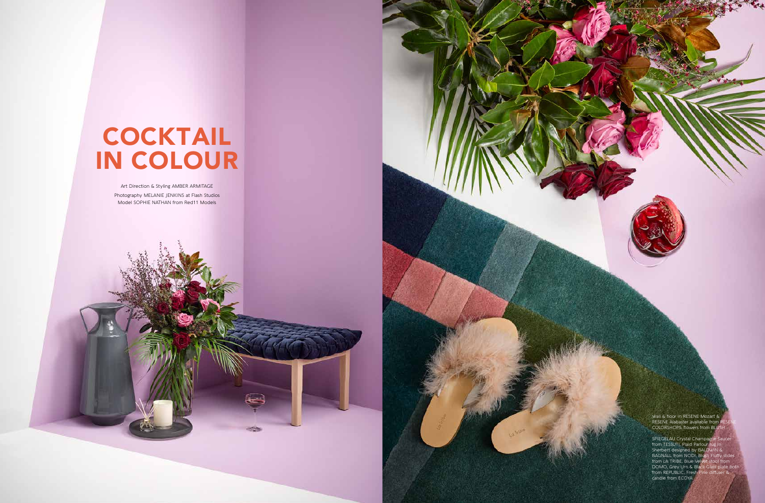

Art Direction & Styling AMBER ARMITAGE Photography MELANIE JENKINS at Flash Studios Model SOPHIE NATHAN from Red11 Models

Wall & floor in RESENE Mozart & RESENE Alabaster available from RESENE COLORSHOPS, flowers from BLUSH.

SPIEGELAU Crystal Champagne Saucer from TESSUTI, Plaid Parlour rug in Sherbert designed by BALDW BAGNALL from NODI, Blus from LA TRIBE, Blue Velvet stool from DOMO, Grey Urn & Black Glass plate both from REPUBLIC, Fresh Pine diffuser & candle from ECOYA.

## COCKTAIL IN COLOUR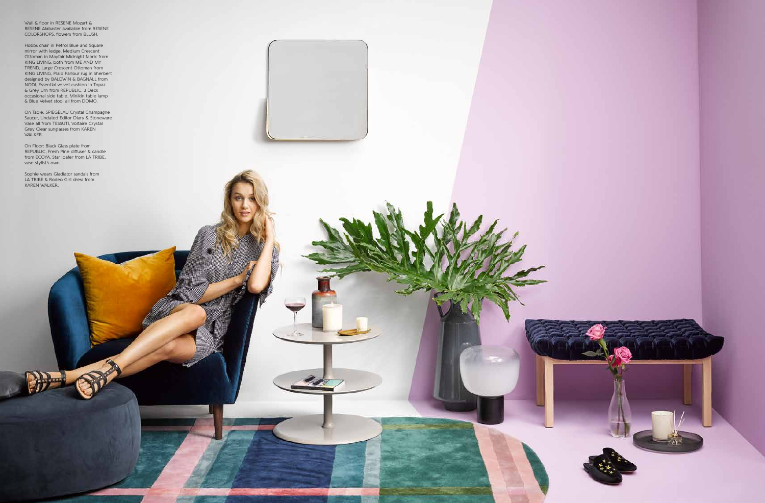

Wall & floor in RESENE Mozart & RESENE Alabaster available from RESENE COLORSHOPS, flowers from BLUSH.

Hobbs chair in Petrol Blue and Square mirror with ledge, Medium Crescent Ottoman in Mayfair Midnight fabric from KING LIVING, both from ME AND MY TREND, Large Crescent Ottoman from KING LIVING, Plaid Parlour rug in Sherbert designed by BALDWIN & BAGNALL from NODI, Essential velvet cushion in Topaz & Grey Urn from REPUBLIC, 3 Deck occasional side table, Minikin table lamp & Blue Velvet stool all from DOMO.

On Table: SPIEGELAU Crystal Champagne Saucer, Undated Editor Diary & Stoneware Vase all from TESSUTI, Voltaire Crystal Grey Clear sunglasses from KAREN WALKER.

On Floor: Black Glass plate from REPUBLIC, Fresh Pine diffuser & candle from ECOYA, Star loafer from LA TRIBE, vase stylist's own.

Sophie wears Gladiator sandals from LA TRIBE & Rodeo Girl dress from KAREN WALKER.